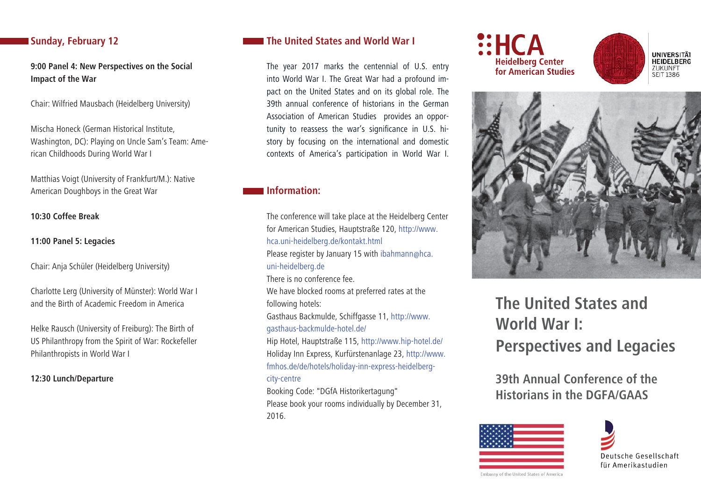# **Sunday, February 12**

**9:00 Panel 4: New Perspectives on the Social Impact of the War**

Chair: Wilfried Mausbach (Heidelberg University)

Mischa Honeck (German Historical Institute, Washington, DC): Playing on Uncle Sam's Team: American Childhoods During World War I

Matthias Voigt (University of Frankfurt/M.): Native American Doughboys in the Great War

**10:30 Coffee Break**

**11:00 Panel 5: Legacies**

Chair: Anja Schüler (Heidelberg University)

Charlotte Lerg (University of Münster): World War I and the Birth of Academic Freedom in America

Helke Rausch (University of Freiburg): The Birth of US Philanthropy from the Spirit of War: Rockefeller Philanthropists in World War I

**12:30 Lunch/Departure**

# **The United States and World War I**

The year 2017 marks the centennial of U.S. entry into World War I. The Great War had a profound impact on the United States and on its global role. The 39th annual conference of historians in the German Association of American Studies provides an opportunity to reassess the war's significance in U.S. history by focusing on the international and domestic contexts of America's participation in World War I.

# **Information:**

The conference will take place at the Heidelberg Center for American Studies, Hauptstraße 120, http://www. hca.uni-heidelberg.de/kontakt.html Please register by January 15 with ibahmann@hca. uni-heidelberg.de There is no conference fee.We have blocked rooms at preferred rates at the following hotels: Gasthaus Backmulde, Schiffgasse 11, http://www. gasthaus-backmulde-hotel.de/ Hip Hotel, Hauptstraße 115, http://www.hip-hotel.de/ Holiday Inn Express, Kurfürstenanlage 23, http://www. fmhos.de/de/hotels/holiday-inn-express-heidelbergcity-centre Booking Code: "DGfA Historikertagung"

Please book your rooms individually by December 31, 2016.







# **The United States and World War I: Perspectives and Legacies**

**39th Annual Conference of the Historians in the DGFA/GAAS** 



Deutsche Gesellschaft für Amerikastudien

Embassy of the United States of America